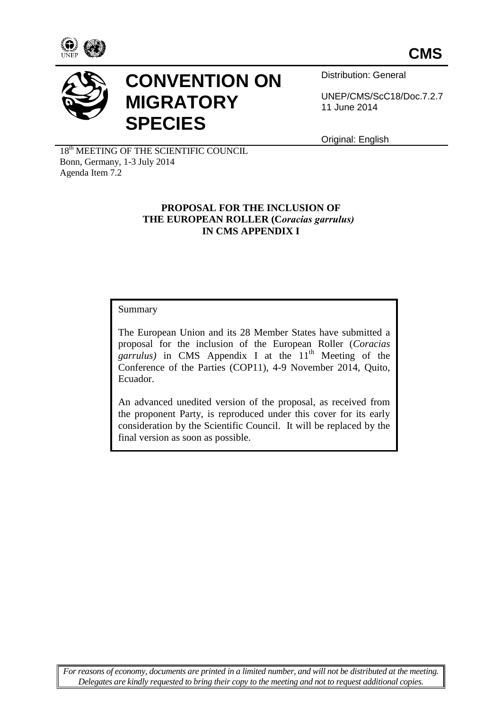



# **CONVENTION ON MIGRATORY SPECIES**

Distribution: General

UNEP/CMS/ScC18/Doc.7.2.7 11 June 2014

Original: English

18<sup>th</sup> MEETING OF THE SCIENTIFIC COUNCIL Bonn, Germany, 1-3 July 2014 Agenda Item 7.2

## **PROPOSAL FOR THE INCLUSION OF THE EUROPEAN ROLLER (C***oracias garrulus)* **IN CMS APPENDIX I**

# Summary

The European Union and its 28 Member States have submitted a proposal for the inclusion of the European Roller (*Coracias garrulus*) in CMS Appendix I at the  $11<sup>th</sup>$  Meeting of the Conference of the Parties (COP11), 4-9 November 2014, Quito, Ecuador.

An advanced unedited version of the proposal, as received from the proponent Party, is reproduced under this cover for its early consideration by the Scientific Council. It will be replaced by the final version as soon as possible.

*For reasons of economy, documents are printed in a limited number, and will not be distributed at the meeting. Delegates are kindly requested to bring their copy to the meeting and not to request additional copies.*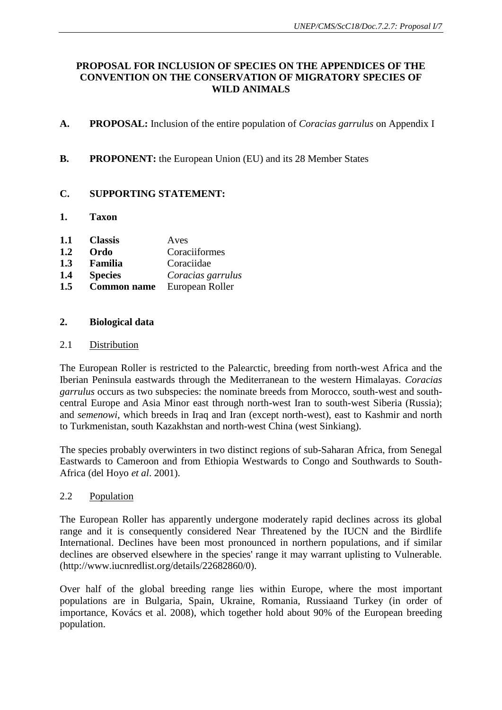## **PROPOSAL FOR INCLUSION OF SPECIES ON THE APPENDICES OF THE CONVENTION ON THE CONSERVATION OF MIGRATORY SPECIES OF WILD ANIMALS**

- **A. PROPOSAL:** Inclusion of the entire population of *Coracias garrulus* on Appendix I
- **B.** PROPONENT: the European Union (EU) and its 28 Member States

## **C. SUPPORTING STATEMENT:**

**1. Taxon** 

| 1.1 | <b>Classis</b>     | Aves              |
|-----|--------------------|-------------------|
| 1.2 | Ordo               | Coraciiformes     |
| 1.3 | Familia            | Coraciidae        |
| 1.4 | <b>Species</b>     | Coracias garrulus |
| 1.5 | <b>Common name</b> | European Roller   |

## **2. Biological data**

### 2.1 Distribution

The European Roller is restricted to the Palearctic, breeding from north-west Africa and the Iberian Peninsula eastwards through the Mediterranean to the western Himalayas. *Coracias garrulus* occurs as two subspecies: the nominate breeds from Morocco, south-west and southcentral Europe and Asia Minor east through north-west Iran to south-west Siberia (Russia); and *semenowi*, which breeds in Iraq and Iran (except north-west), east to Kashmir and north to Turkmenistan, south Kazakhstan and north-west China (west Sinkiang).

The species probably overwinters in two distinct regions of sub-Saharan Africa, from Senegal Eastwards to Cameroon and from Ethiopia Westwards to Congo and Southwards to South-Africa (del Hoyo *et al*. 2001).

### 2.2 Population

The European Roller has apparently undergone moderately rapid declines across its global range and it is consequently considered Near Threatened by the IUCN and the Birdlife International. Declines have been most pronounced in northern populations, and if similar declines are observed elsewhere in the species' range it may warrant uplisting to Vulnerable. (http://www.iucnredlist.org/details/22682860/0).

Over half of the global breeding range lies within Europe, where the most important populations are in Bulgaria, Spain, Ukraine, Romania, Russiaand Turkey (in order of importance, Kovács et al. 2008), which together hold about 90% of the European breeding population.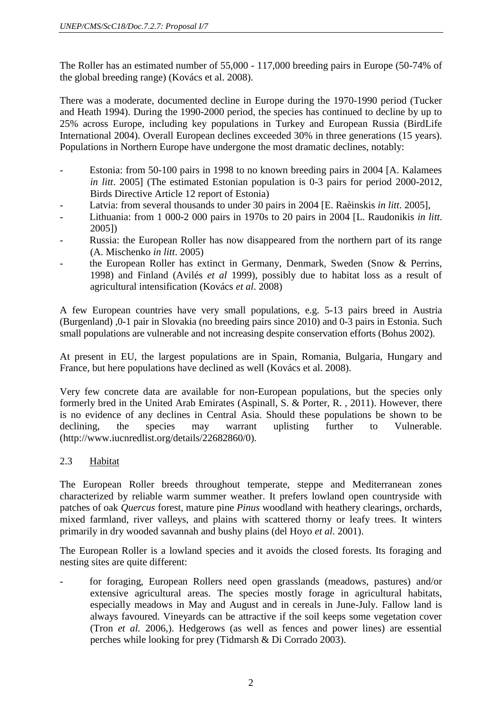The Roller has an estimated number of 55,000 - 117,000 breeding pairs in Europe (50-74% of the global breeding range) (Kovács et al. 2008).

There was a moderate, documented decline in Europe during the 1970-1990 period (Tucker and Heath 1994). During the 1990-2000 period, the species has continued to decline by up to 25% across Europe, including key populations in Turkey and European Russia (BirdLife International 2004). Overall European declines exceeded 30% in three generations (15 years). Populations in Northern Europe have undergone the most dramatic declines, notably:

- Estonia: from 50-100 pairs in 1998 to no known breeding pairs in 2004 [A. Kalamees] *in litt*. 2005] (The estimated Estonian population is 0-3 pairs for period 2000-2012, Birds Directive Article 12 report of Estonia)
- Latvia: from several thousands to under 30 pairs in 2004 [E. Raèinskis *in litt*. 2005],
- Lithuania: from 1 000-2 000 pairs in 1970s to 20 pairs in 2004 [L. Raudonikis *in litt*. 2005])
- Russia: the European Roller has now disappeared from the northern part of its range (A. Mischenko *in litt*. 2005)
- the European Roller has extinct in Germany, Denmark, Sweden (Snow & Perrins, 1998) and Finland (Avilés *et al* 1999), possibly due to habitat loss as a result of agricultural intensification (Kovács *et al*. 2008)

A few European countries have very small populations, e.g. 5-13 pairs breed in Austria (Burgenland) ,0-1 pair in Slovakia (no breeding pairs since 2010) and 0-3 pairs in Estonia. Such small populations are vulnerable and not increasing despite conservation efforts (Bohus 2002).

At present in EU, the largest populations are in Spain, Romania, Bulgaria, Hungary and France, but here populations have declined as well (Kovács et al. 2008).

Very few concrete data are available for non-European populations, but the species only formerly bred in the United Arab Emirates (Aspinall, S. & Porter, R. , 2011). However, there is no evidence of any declines in Central Asia. Should these populations be shown to be declining, the species may warrant uplisting further to Vulnerable. (http://www.iucnredlist.org/details/22682860/0).

# 2.3 Habitat

The European Roller breeds throughout temperate, steppe and Mediterranean zones characterized by reliable warm summer weather. It prefers lowland open countryside with patches of oak *Quercus* forest, mature pine *Pinus* woodland with heathery clearings, orchards, mixed farmland, river valleys, and plains with scattered thorny or leafy trees. It winters primarily in dry wooded savannah and bushy plains (del Hoyo *et al*. 2001).

The European Roller is a lowland species and it avoids the closed forests. Its foraging and nesting sites are quite different:

for foraging, European Rollers need open grasslands (meadows, pastures) and/or extensive agricultural areas. The species mostly forage in agricultural habitats, especially meadows in May and August and in cereals in June-July. Fallow land is always favoured. Vineyards can be attractive if the soil keeps some vegetation cover (Tron *et al.* 2006,). Hedgerows (as well as fences and power lines) are essential perches while looking for prey (Tidmarsh & Di Corrado 2003).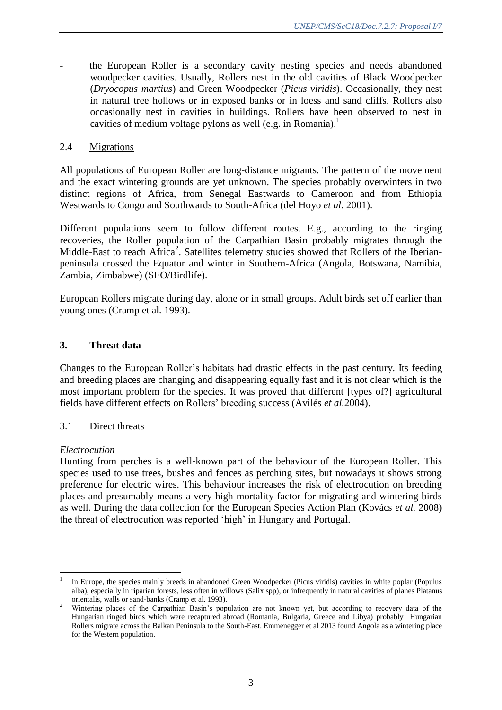- the European Roller is a secondary cavity nesting species and needs abandoned woodpecker cavities. Usually, Rollers nest in the old cavities of Black Woodpecker (*Dryocopus martius*) and Green Woodpecker (*Picus viridis*). Occasionally, they nest in natural tree hollows or in exposed banks or in loess and sand cliffs. Rollers also occasionally nest in cavities in buildings. Rollers have been observed to nest in cavities of medium voltage pylons as well (e.g. in Romania).<sup>1</sup>

## 2.4 Migrations

All populations of European Roller are long-distance migrants. The pattern of the movement and the exact wintering grounds are yet unknown. The species probably overwinters in two distinct regions of Africa, from Senegal Eastwards to Cameroon and from Ethiopia Westwards to Congo and Southwards to South-Africa (del Hoyo *et al*. 2001).

Different populations seem to follow different routes. E.g., according to the ringing recoveries, the Roller population of the Carpathian Basin probably migrates through the Middle-East to reach Africa<sup>2</sup>. Satellites telemetry studies showed that Rollers of the Iberianpeninsula crossed the Equator and winter in Southern-Africa (Angola, Botswana, Namibia, Zambia, Zimbabwe) (SEO/Birdlife).

European Rollers migrate during day, alone or in small groups. Adult birds set off earlier than young ones (Cramp et al. 1993).

## **3. Threat data**

Changes to the European Roller's habitats had drastic effects in the past century. Its feeding and breeding places are changing and disappearing equally fast and it is not clear which is the most important problem for the species. It was proved that different [types of?] agricultural fields have different effects on Rollers' breeding success (Avilés *et al.*2004).

### 3.1 Direct threats

### *Electrocution*

 $\overline{a}$ 

Hunting from perches is a well-known part of the behaviour of the European Roller. This species used to use trees, bushes and fences as perching sites, but nowadays it shows strong preference for electric wires. This behaviour increases the risk of electrocution on breeding places and presumably means a very high mortality factor for migrating and wintering birds as well. During the data collection for the European Species Action Plan (Kovács *et al.* 2008) the threat of electrocution was reported 'high' in Hungary and Portugal.

<sup>1</sup> In Europe, the species mainly breeds in abandoned Green Woodpecker (Picus viridis) cavities in white poplar (Populus alba), especially in riparian forests, less often in willows (Salix spp), or infrequently in natural cavities of planes Platanus orientalis, walls or sand-banks (Cramp et al. 1993).

<sup>&</sup>lt;sup>2</sup> Wintering places of the Carpathian Basin's population are not known yet, but according to recovery data of the Hungarian ringed birds which were recaptured abroad (Romania, Bulgaria, Greece and Libya) probably Hungarian Rollers migrate across the Balkan Peninsula to the South-East. Emmenegger et al 2013 found Angola as a wintering place for the Western population.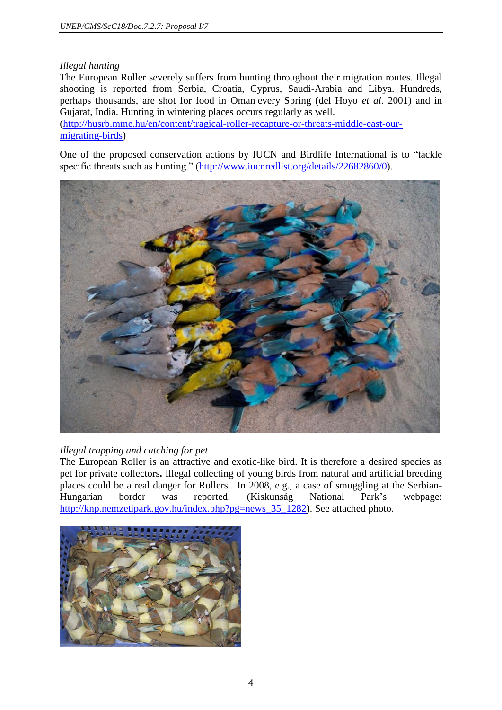## *Illegal hunting*

The European Roller severely suffers from hunting throughout their migration routes. Illegal shooting is reported from Serbia, Croatia, Cyprus, Saudi-Arabia and Libya. Hundreds, perhaps thousands, are shot for food in Oman every Spring (del Hoyo *et al*. 2001) and in Gujarat, India. Hunting in wintering places occurs regularly as well.

[\(http://husrb.mme.hu/en/content/tragical-roller-recapture-or-threats-middle-east-our](http://husrb.mme.hu/en/content/tragical-roller-recapture-or-threats-middle-east-our-migrating-birds)[migrating-birds\)](http://husrb.mme.hu/en/content/tragical-roller-recapture-or-threats-middle-east-our-migrating-birds)

One of the proposed conservation actions by IUCN and Birdlife International is to "tackle specific threats such as hunting." [\(http://www.iucnredlist.org/details/22682860/0\)](http://www.iucnredlist.org/details/22682860/0).



## *Illegal trapping and catching for pet*

The European Roller is an attractive and exotic-like bird. It is therefore a desired species as pet for private collectors**.** Illegal collecting of young birds from natural and artificial breeding places could be a real danger for Rollers. In 2008, e.g., a case of smuggling at the Serbian-Hungarian border was reported. (Kiskunság National Park's webpage: [http://knp.nemzetipark.gov.hu/index.php?pg=news\\_35\\_1282\)](http://knp.nemzetipark.gov.hu/index.php?pg=news_35_1282). See attached photo.

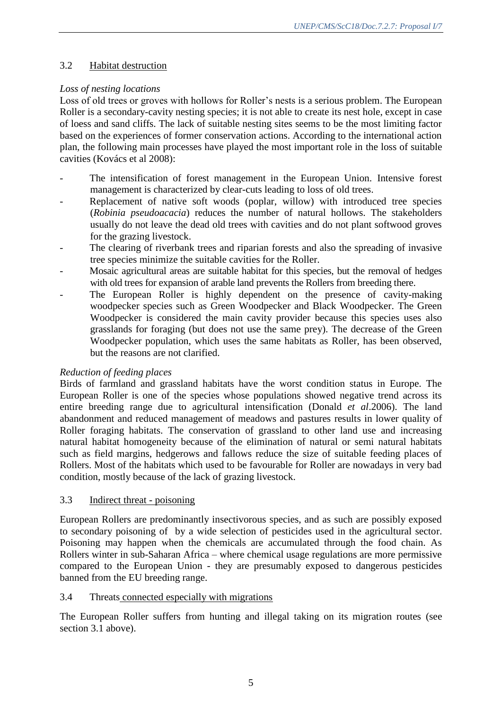# 3.2 Habitat destruction

# *Loss of nesting locations*

Loss of old trees or groves with hollows for Roller's nests is a serious problem. The European Roller is a secondary-cavity nesting species; it is not able to create its nest hole, except in case of loess and sand cliffs. The lack of suitable nesting sites seems to be the most limiting factor based on the experiences of former conservation actions. According to the international action plan, the following main processes have played the most important role in the loss of suitable cavities (Kovács et al 2008):

- The intensification of forest management in the European Union. Intensive forest management is characterized by clear-cuts leading to loss of old trees.
- Replacement of native soft woods (poplar, willow) with introduced tree species (*Robinia pseudoacacia*) reduces the number of natural hollows. The stakeholders usually do not leave the dead old trees with cavities and do not plant softwood groves for the grazing livestock.
- The clearing of riverbank trees and riparian forests and also the spreading of invasive tree species minimize the suitable cavities for the Roller.
- Mosaic agricultural areas are suitable habitat for this species, but the removal of hedges with old trees for expansion of arable land prevents the Rollers from breeding there.
- The European Roller is highly dependent on the presence of cavity-making woodpecker species such as Green Woodpecker and Black Woodpecker. The Green Woodpecker is considered the main cavity provider because this species uses also grasslands for foraging (but does not use the same prey). The decrease of the Green Woodpecker population, which uses the same habitats as Roller, has been observed, but the reasons are not clarified.

## *Reduction of feeding places*

Birds of farmland and grassland habitats have the worst condition status in Europe. The European Roller is one of the species whose populations showed negative trend across its entire breeding range due to agricultural intensification (Donald *et al*.2006). The land abandonment and reduced management of meadows and pastures results in lower quality of Roller foraging habitats. The conservation of grassland to other land use and increasing natural habitat homogeneity because of the elimination of natural or semi natural habitats such as field margins, hedgerows and fallows reduce the size of suitable feeding places of Rollers. Most of the habitats which used to be favourable for Roller are nowadays in very bad condition, mostly because of the lack of grazing livestock.

## 3.3 Indirect threat - poisoning

European Rollers are predominantly insectivorous species, and as such are possibly exposed to secondary poisoning of by a wide selection of pesticides used in the agricultural sector. Poisoning may happen when the chemicals are accumulated through the food chain. As Rollers winter in sub-Saharan Africa – where chemical usage regulations are more permissive compared to the European Union - they are presumably exposed to dangerous pesticides banned from the EU breeding range.

## 3.4 Threats connected especially with migrations

The European Roller suffers from hunting and illegal taking on its migration routes (see section 3.1 above).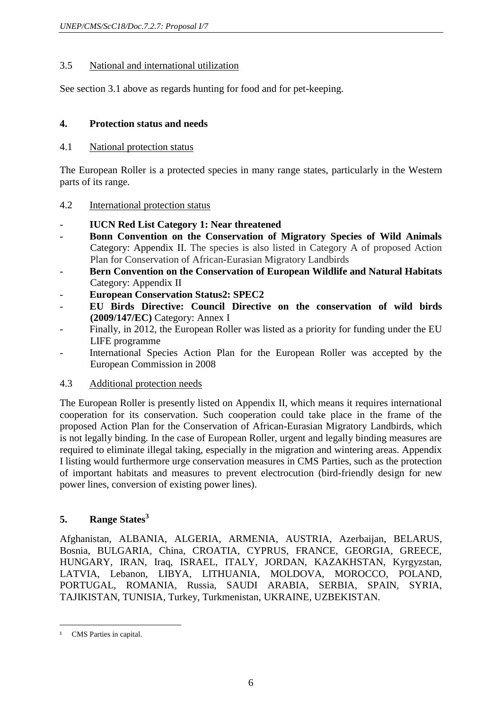## 3.5 National and international utilization

See section 3.1 above as regards hunting for food and for pet-keeping.

## **4. Protection status and needs**

## 4.1 National protection status

The European Roller is a protected species in many range states, particularly in the Western parts of its range.

## 4.2 International protection status

## - **IUCN Red List Category 1: Near threatened**

- **Bonn Convention on the Conservation of Migratory Species of Wild Animals**  Category: Appendix II. The species is also listed in Category A of proposed Action Plan for Conservation of African-Eurasian Migratory Landbirds
- **Bern Convention on the Conservation of European Wildlife and Natural Habitats** Category: Appendix II
- **European Conservation Status2: SPEC2**
- **EU Birds Directive: Council Directive on the conservation of wild birds (2009/147/EC)** Category: Annex I
- Finally, in 2012, the European Roller was listed as a priority for funding under the EU LIFE programme
- International Species Action Plan for the European Roller was accepted by the European Commission in 2008
- 4.3 Additional protection needs

The European Roller is presently listed on Appendix II, which means it requires international cooperation for its conservation. Such cooperation could take place in the frame of the proposed Action Plan for the Conservation of African-Eurasian Migratory Landbirds, which is not legally binding. In the case of European Roller, urgent and legally binding measures are required to eliminate illegal taking, especially in the migration and wintering areas. Appendix I listing would furthermore urge conservation measures in CMS Parties, such as the protection of important habitats and measures to prevent electrocution (bird-friendly design for new power lines, conversion of existing power lines).

# **5. Range States<sup>3</sup>**

Afghanistan, ALBANIA, ALGERIA, ARMENIA, AUSTRIA, Azerbaijan, BELARUS, Bosnia, BULGARIA, China, CROATIA, CYPRUS, FRANCE, GEORGIA, GREECE, HUNGARY, IRAN, Iraq, ISRAEL, ITALY, JORDAN, KAZAKHSTAN, Kyrgyzstan, LATVIA, Lebanon, LIBYA, LITHUANIA, MOLDOVA, MOROCCO, POLAND, PORTUGAL, ROMANIA, Russia, SAUDI ARABIA, SERBIA, SPAIN, SYRIA, TAJIKISTAN, TUNISIA, Turkey, Turkmenistan, UKRAINE, UZBEKISTAN.

 $\overline{a}$ <sup>1</sup> CMS Parties in capital.